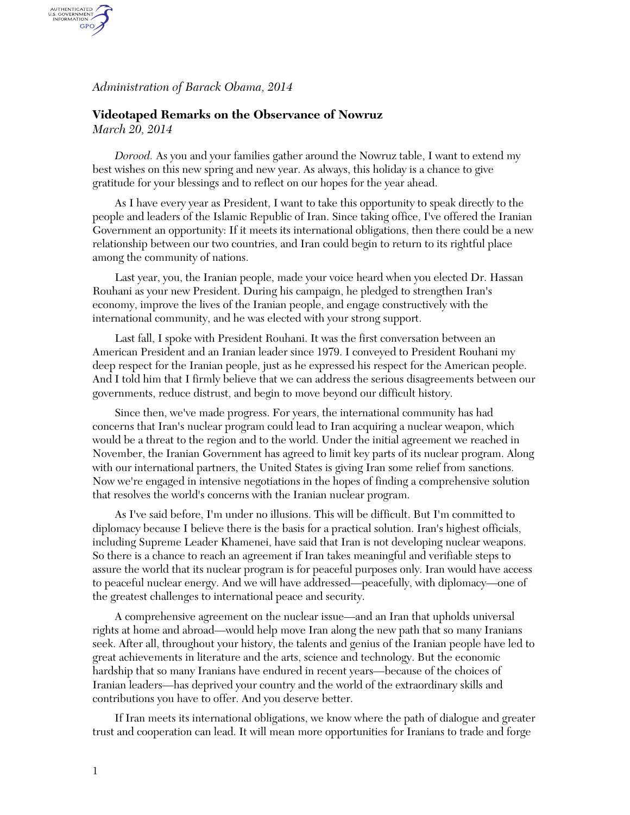*Administration of Barack Obama, 2014*

## **Videotaped Remarks on the Observance of Nowruz**

*March 20, 2014*

AUTHENTICATED<br>U.S. GOVERNMENT<br>INFORMATION GPO.

> *Dorood.* As you and your families gather around the Nowruz table, I want to extend my best wishes on this new spring and new year. As always, this holiday is a chance to give gratitude for your blessings and to reflect on our hopes for the year ahead.

As I have every year as President, I want to take this opportunity to speak directly to the people and leaders of the Islamic Republic of Iran. Since taking office, I've offered the Iranian Government an opportunity: If it meets its international obligations, then there could be a new relationship between our two countries, and Iran could begin to return to its rightful place among the community of nations.

Last year, you, the Iranian people, made your voice heard when you elected Dr. Hassan Rouhani as your new President. During his campaign, he pledged to strengthen Iran's economy, improve the lives of the Iranian people, and engage constructively with the international community, and he was elected with your strong support.

Last fall, I spoke with President Rouhani. It was the first conversation between an American President and an Iranian leader since 1979. I conveyed to President Rouhani my deep respect for the Iranian people, just as he expressed his respect for the American people. And I told him that I firmly believe that we can address the serious disagreements between our governments, reduce distrust, and begin to move beyond our difficult history.

Since then, we've made progress. For years, the international community has had concerns that Iran's nuclear program could lead to Iran acquiring a nuclear weapon, which would be a threat to the region and to the world. Under the initial agreement we reached in November, the Iranian Government has agreed to limit key parts of its nuclear program. Along with our international partners, the United States is giving Iran some relief from sanctions. Now we're engaged in intensive negotiations in the hopes of finding a comprehensive solution that resolves the world's concerns with the Iranian nuclear program.

As I've said before, I'm under no illusions. This will be difficult. But I'm committed to diplomacy because I believe there is the basis for a practical solution. Iran's highest officials, including Supreme Leader Khamenei, have said that Iran is not developing nuclear weapons. So there is a chance to reach an agreement if Iran takes meaningful and verifiable steps to assure the world that its nuclear program is for peaceful purposes only. Iran would have access to peaceful nuclear energy. And we will have addressed—peacefully, with diplomacy—one of the greatest challenges to international peace and security.

A comprehensive agreement on the nuclear issue—and an Iran that upholds universal rights at home and abroad—would help move Iran along the new path that so many Iranians seek. After all, throughout your history, the talents and genius of the Iranian people have led to great achievements in literature and the arts, science and technology. But the economic hardship that so many Iranians have endured in recent years—because of the choices of Iranian leaders—has deprived your country and the world of the extraordinary skills and contributions you have to offer. And you deserve better.

If Iran meets its international obligations, we know where the path of dialogue and greater trust and cooperation can lead. It will mean more opportunities for Iranians to trade and forge